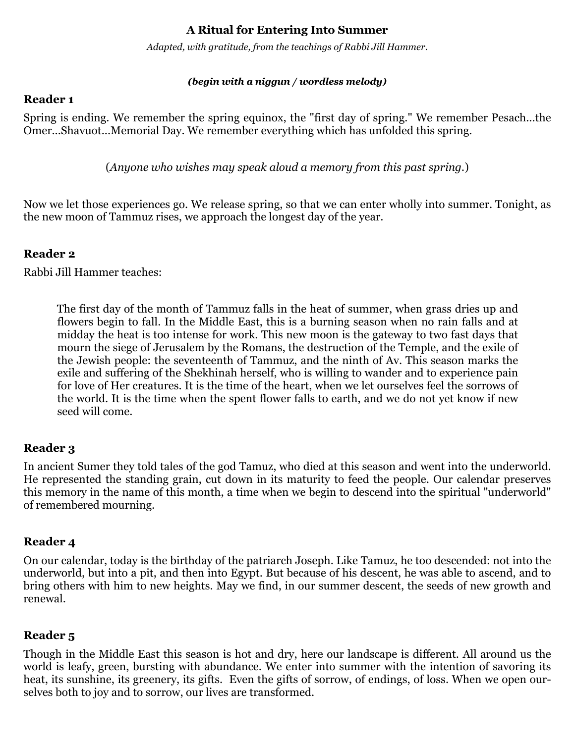# **A Ritual for Entering Into Summer**

*Adapted, with gratitude, from the teachings of Rabbi Jill Hammer.*

#### *(begin with a niggun / wordless melody)*

#### **Reader 1**

Spring is ending. We remember the spring equinox, the "first day of spring." We remember Pesach...the Omer...Shavuot...Memorial Day. We remember everything which has unfolded this spring.

(*Anyone who wishes may speak aloud a memory from this past spring.*)

Now we let those experiences go. We release spring, so that we can enter wholly into summer. Tonight, as the new moon of Tammuz rises, we approach the longest day of the year.

## **Reader 2**

Rabbi Jill Hammer teaches:

The first day of the month of Tammuz falls in the heat of summer, when grass dries up and flowers begin to fall. In the Middle East, this is a burning season when no rain falls and at midday the heat is too intense for work. This new moon is the gateway to two fast days that mourn the siege of Jerusalem by the Romans, the destruction of the Temple, and the exile of the Jewish people: the seventeenth of Tammuz, and the ninth of Av. This season marks the exile and suffering of the Shekhinah herself, who is willing to wander and to experience pain for love of Her creatures. It is the time of the heart, when we let ourselves feel the sorrows of the world. It is the time when the spent flower falls to earth, and we do not yet know if new seed will come.

## **Reader 3**

In ancient Sumer they told tales of the god Tamuz, who died at this season and went into the underworld. He represented the standing grain, cut down in its maturity to feed the people. Our calendar preserves this memory in the name of this month, a time when we begin to descend into the spiritual "underworld" of remembered mourning.

## **Reader 4**

On our calendar, today is the birthday of the patriarch Joseph. Like Tamuz, he too descended: not into the underworld, but into a pit, and then into Egypt. But because of his descent, he was able to ascend, and to bring others with him to new heights. May we find, in our summer descent, the seeds of new growth and renewal.

# **Reader 5**

Though in the Middle East this season is hot and dry, here our landscape is different. All around us the world is leafy, green, bursting with abundance. We enter into summer with the intention of savoring its heat, its sunshine, its greenery, its gifts. Even the gifts of sorrow, of endings, of loss. When we open ourselves both to joy and to sorrow, our lives are transformed.